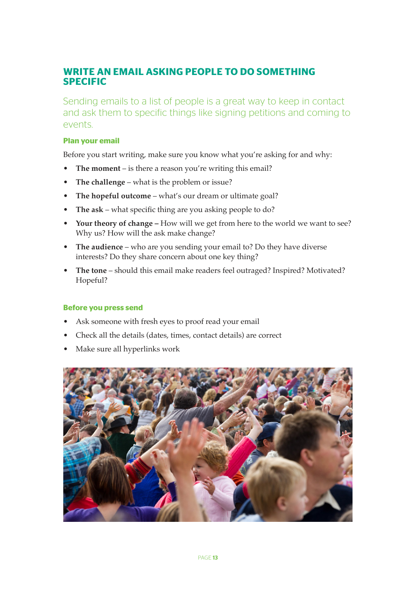### **WRITE AN EMAIL ASKING PEOPLE TO DO SOMETHING SPECIFIC**

Sending emails to a list of people is a great way to keep in contact and ask them to specific things like signing petitions and coming to events.

#### **Plan your email**

Before you start writing, make sure you know what you're asking for and why:

- **The moment** is there a reason you're writing this email?
- **The challenge** what is the problem or issue?
- **The hopeful outcome** what's our dream or ultimate goal?
- **The ask** what specific thing are you asking people to do?
- **Your theory of change –** How will we get from here to the world we want to see? Why us? How will the ask make change?
- **The audience** who are you sending your email to? Do they have diverse interests? Do they share concern about one key thing?
- **The tone** should this email make readers feel outraged? Inspired? Motivated? Hopeful?

#### **Before you press send**

- Ask someone with fresh eyes to proof read your email
- Check all the details (dates, times, contact details) are correct
- Make sure all hyperlinks work

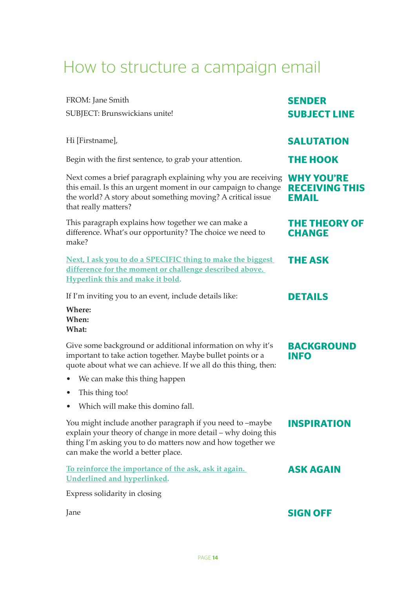## How to structure a campaign email

| FROM: Jane Smith                                                                                                                                                                                                                  | <b>SENDER</b>                         |
|-----------------------------------------------------------------------------------------------------------------------------------------------------------------------------------------------------------------------------------|---------------------------------------|
| SUBJECT: Brunswickians unite!                                                                                                                                                                                                     | <b>SUBJECT LINE</b>                   |
|                                                                                                                                                                                                                                   |                                       |
| Hi [Firstname],                                                                                                                                                                                                                   | <b>SALUTATION</b>                     |
| Begin with the first sentence, to grab your attention.                                                                                                                                                                            | <b>THE HOOK</b>                       |
| Next comes a brief paragraph explaining why you are receiving WHY YOU'RE<br>this email. Is this an urgent moment in our campaign to change<br>the world? A story about something moving? A critical issue<br>that really matters? | <b>RECEIVING THIS</b><br><b>EMAIL</b> |
| This paragraph explains how together we can make a<br>difference. What's our opportunity? The choice we need to<br>make?                                                                                                          | <b>THE THEORY OF</b><br><b>CHANGE</b> |
| Next, I ask you to do a SPECIFIC thing to make the biggest<br>difference for the moment or challenge described above.<br><b>Hyperlink this and make it bold.</b>                                                                  | <b>THE ASK</b>                        |
| If I'm inviting you to an event, include details like:                                                                                                                                                                            | <b>DETAILS</b>                        |
| Where:<br>When:<br>What:                                                                                                                                                                                                          |                                       |
| Give some background or additional information on why it's<br>important to take action together. Maybe bullet points or a<br>quote about what we can achieve. If we all do this thing, then:                                      | <b>BACKGROUND</b><br><b>INFO</b>      |
| We can make this thing happen                                                                                                                                                                                                     |                                       |
| This thing too!<br>$\bullet$                                                                                                                                                                                                      |                                       |
| • Which will make this domino fall.                                                                                                                                                                                               |                                       |
| You might include another paragraph if you need to -maybe<br>explain your theory of change in more detail - why doing this<br>thing I'm asking you to do matters now and how together we<br>can make the world a better place.    | <b>INSPIRATION</b>                    |
| To reinforce the importance of the ask, ask it again.<br><b>Underlined and hyperlinked.</b>                                                                                                                                       | <b>ASK AGAIN</b>                      |
| Express solidarity in closing                                                                                                                                                                                                     |                                       |
| Jane                                                                                                                                                                                                                              | <b>SIGN OFF</b>                       |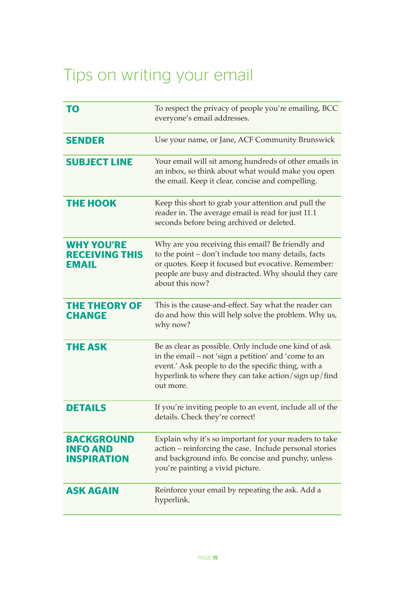# Tips on writing your email

| <b>TO</b>                                                  | To respect the privacy of people you're emailing, BCC<br>everyone's email addresses.                                                                                                                                                        |
|------------------------------------------------------------|---------------------------------------------------------------------------------------------------------------------------------------------------------------------------------------------------------------------------------------------|
| <b>SENDER</b>                                              | Use your name, or Jane, ACF Community Brunswick                                                                                                                                                                                             |
| <b>SUBJECT LINE</b>                                        | Your email will sit among hundreds of other emails in<br>an inbox, so think about what would make you open<br>the email. Keep it clear, concise and compelling.                                                                             |
| <b>THE HOOK</b>                                            | Keep this short to grab your attention and pull the<br>reader in. The average email is read for just 11.1<br>seconds before being archived or deleted.                                                                                      |
| <b>WHY YOU'RE</b><br><b>RECEIVING THIS</b><br><b>EMAIL</b> | Why are you receiving this email? Be friendly and<br>to the point - don't include too many details, facts<br>or quotes. Keep it focused but evocative. Remember:<br>people are busy and distracted. Why should they care<br>about this now? |
| <b>THE THEORY OF</b><br><b>CHANGE</b>                      | This is the cause-and-effect. Say what the reader can<br>do and how this will help solve the problem. Why us,<br>why now?                                                                                                                   |
| <b>THE ASK</b>                                             | Be as clear as possible. Only include one kind of ask<br>in the email - not 'sign a petition' and 'come to an<br>event.' Ask people to do the specific thing, with a<br>hyperlink to where they can take action/sign up/find<br>out more.   |
| <b>DETAILS</b>                                             | If you're inviting people to an event, include all of the<br>details. Check they're correct!                                                                                                                                                |
| <b>BACKGROUND</b><br><b>INFO AND</b><br><b>INSPIRATION</b> | Explain why it's so important for your readers to take<br>action - reinforcing the case. Include personal stories<br>and background info. Be concise and punchy, unless<br>you're painting a vivid picture.                                 |
| <b>ASK AGAIN</b>                                           | Reinforce your email by repeating the ask. Add a<br>hyperlink.                                                                                                                                                                              |